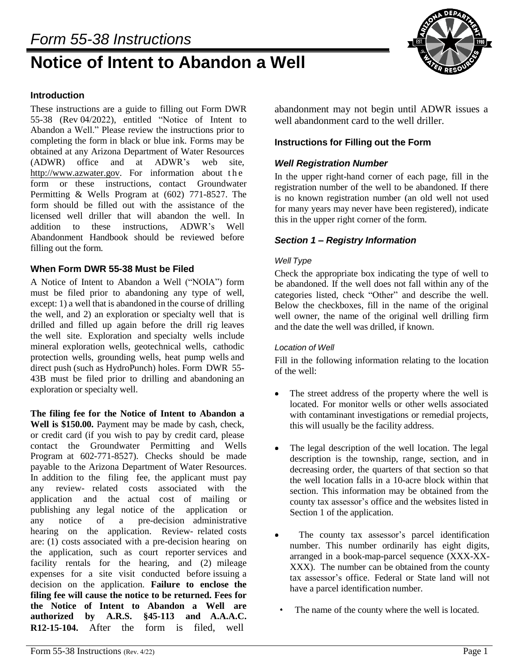# *Form 55-38 Instructions*

# **Notice of Intent to Abandon a Well**



# **Introduction**

These instructions are a guide to filling out Form DWR 55-38 (Rev 04/2022), entitled "Notice of Intent to Abandon a Well." Please review the instructions prior to completing the form in black or blue ink. Forms may be obtained at any Arizona Department of Water Resources (ADWR) office and at ADWR's web site[,](http://www.azwater.gov/) [http://www.azwater.gov.](http://www.azwater.gov/) For information about the form or these instructions, contact Groundwater Permitting & Wells Program at (602) 771-8527. The form should be filled out with the assistance of the licensed well driller that will abandon the well. In addition to these instructions, ADWR's Well Abandonment Handbook should be reviewed before filling out the form.

#### **When Form DWR 55-38 Must be Filed**

A Notice of Intent to Abandon a Well ("NOIA") form must be filed prior to abandoning any type of well, except: 1) a well that is abandoned in the course of drilling the well, and 2) an exploration or specialty well that is drilled and filled up again before the drill rig leaves the well site. Exploration and specialty wells include mineral exploration wells, geotechnical wells, cathodic protection wells, grounding wells, heat pump wells and direct push (such as HydroPunch) holes. Form DWR 55- 43B must be filed prior to drilling and abandoning an exploration or specialty well.

**The filing fee for the Notice of Intent to Abandon a Well is \$150.00.** Payment may be made by cash, check, or credit card (if you wish to pay by credit card, please contact the Groundwater Permitting and Wells Program at 602-771-8527). Checks should be made payable to the Arizona Department of Water Resources. In addition to the filing fee, the applicant must pay any review- related costs associated with the application and the actual cost of mailing or publishing any legal notice of the application or any notice of a pre-decision administrative hearing on the application. Review- related costs are: (1) costs associated with a pre-decision hearing on the application, such as court reporter services and facility rentals for the hearing, and (2) mileage expenses for a site visit conducted before issuing a decision on the application. **Failure to enclose the filing fee will cause the notice to be returned. Fees for the Notice of Intent to Abandon a Well are authorized by A.R.S. §45-113 and A.A.A.C. R12-15-104.** After the form is filed, well

abandonment may not begin until ADWR issues a well abandonment card to the well driller.

#### **Instructions for Filling out the Form**

#### *Well Registration Number*

In the upper right-hand corner of each page, fill in the registration number of the well to be abandoned. If there is no known registration number (an old well not used for many years may never have been registered), indicate this in the upper right corner of the form.

#### *Section 1 – Registry Information*

#### *Well Type*

Check the appropriate box indicating the type of well to be abandoned. If the well does not fall within any of the categories listed, check "Other" and describe the well. Below the checkboxes, fill in the name of the original well owner, the name of the original well drilling firm and the date the well was drilled, if known.

#### *Location of Well*

Fill in the following information relating to the location of the well:

- The street address of the property where the well is located. For monitor wells or other wells associated with contaminant investigations or remedial projects, this will usually be the facility address.
- $\bullet$  The legal description of the well location. The legal description is the township, range, section, and in decreasing order, the quarters of that section so that the well location falls in a 10-acre block within that section. This information may be obtained from the county tax assessor's office and the websites listed in Section 1 of the application.
- The county tax assessor's parcel identification number. This number ordinarily has eight digits, arranged in a book-map-parcel sequence (XXX-XX-XXX). The number can be obtained from the county tax assessor's office. Federal or State land will not have a parcel identification number.
	- The name of the county where the well is located.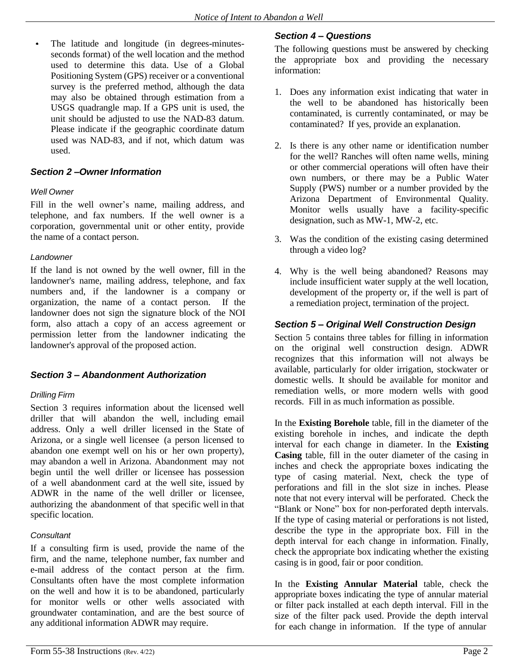The latitude and longitude (in degrees-minutesseconds format) of the well location and the method used to determine this data. Use of a Global Positioning System (GPS) receiver or a conventional survey is the preferred method, although the data may also be obtained through estimation from a USGS quadrangle map. If a GPS unit is used, the unit should be adjusted to use the NAD-83 datum. Please indicate if the geographic coordinate datum used was NAD-83, and if not, which datum was used.

# *Section 2 –Owner Information*

#### *Well Owner*

Fill in the well owner's name, mailing address, and telephone, and fax numbers. If the well owner is a corporation, governmental unit or other entity, provide the name of a contact person.

#### *Landowner*

If the land is not owned by the well owner, fill in the landowner's name, mailing address, telephone, and fax numbers and, if the landowner is a company or organization, the name of a contact person. If the landowner does not sign the signature block of the NOI form, also attach a copy of an access agreement or permission letter from the landowner indicating the landowner's approval of the proposed action.

# *Section 3 – Abandonment Authorization*

#### *Drilling Firm*

Section 3 requires information about the licensed well driller that will abandon the well, including email address. Only a well driller licensed in the State of Arizona, or a single well licensee (a person licensed to abandon one exempt well on his or her own property), may abandon a well in Arizona. Abandonment may not begin until the well driller or licensee has possession of a well abandonment card at the well site, issued by ADWR in the name of the well driller or licensee, authorizing the abandonment of that specific well in that specific location.

#### *Consultant*

If a consulting firm is used, provide the name of the firm, and the name, telephone number, fax number and e-mail address of the contact person at the firm. Consultants often have the most complete information on the well and how it is to be abandoned, particularly for monitor wells or other wells associated with groundwater contamination, and are the best source of any additional information ADWR may require.

## *Section 4 – Questions*

The following questions must be answered by checking the appropriate box and providing the necessary information:

- 1. Does any information exist indicating that water in the well to be abandoned has historically been contaminated, is currently contaminated, or may be contaminated? If yes, provide an explanation.
- 2. Is there is any other name or identification number for the well? Ranches will often name wells, mining or other commercial operations will often have their own numbers, or there may be a Public Water Supply (PWS) number or a number provided by the Arizona Department of Environmental Quality. Monitor wells usually have a facility-specific designation, such as MW-1, MW-2, etc.
- 3. Was the condition of the existing casing determined through a video log?
- 4. Why is the well being abandoned? Reasons may include insufficient water supply at the well location, development of the property or, if the well is part of a remediation project, termination of the project.

# *Section 5 – Original Well Construction Design*

Section 5 contains three tables for filling in information on the original well construction design. ADWR recognizes that this information will not always be available, particularly for older irrigation, stockwater or domestic wells. It should be available for monitor and remediation wells, or more modern wells with good records. Fill in as much information as possible.

In the **Existing Borehole** table, fill in the diameter of the existing borehole in inches, and indicate the depth interval for each change in diameter. In the **Existing Casing** table, fill in the outer diameter of the casing in inches and check the appropriate boxes indicating the type of casing material. Next, check the type of perforations and fill in the slot size in inches. Please note that not every interval will be perforated. Check the "Blank or None" box for non-perforated depth intervals. If the type of casing material or perforations is not listed, describe the type in the appropriate box. Fill in the depth interval for each change in information. Finally, check the appropriate box indicating whether the existing casing is in good, fair or poor condition.

In the **Existing Annular Material** table, check the appropriate boxes indicating the type of annular material or filter pack installed at each depth interval. Fill in the size of the filter pack used. Provide the depth interval for each change in information. If the type of annular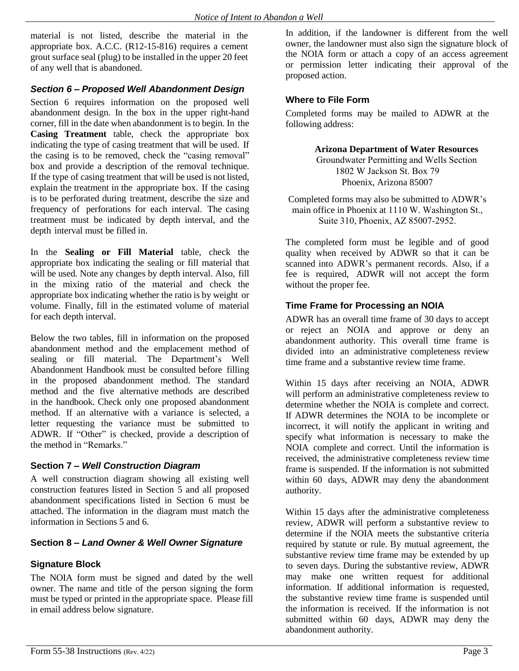material is not listed, describe the material in the appropriate box. A.C.C. (R12-15-816) requires a cement grout surface seal (plug) to be installed in the upper 20 feet of any well that is abandoned.

# *Section 6 – Proposed Well Abandonment Design*

Section 6 requires information on the proposed well abandonment design. In the box in the upper right-hand corner, fill in the date when abandonment is to begin. In the **Casing Treatment** table, check the appropriate box indicating the type of casing treatment that will be used. If the casing is to be removed, check the "casing removal" box and provide a description of the removal technique. If the type of casing treatment that will be used is not listed, explain the treatment in the appropriate box. If the casing is to be perforated during treatment, describe the size and frequency of perforations for each interval. The casing treatment must be indicated by depth interval, and the depth interval must be filled in.

In the **Sealing or Fill Material** table, check the appropriate box indicating the sealing or fill material that will be used. Note any changes by depth interval. Also, fill in the mixing ratio of the material and check the appropriate box indicating whether the ratio is by weight or volume. Finally, fill in the estimated volume of material for each depth interval.

Below the two tables, fill in information on the proposed abandonment method and the emplacement method of sealing or fill material. The Department's Well Abandonment Handbook must be consulted before filling in the proposed abandonment method. The standard method and the five alternative methods are described in the handbook. Check only one proposed abandonment method. If an alternative with a variance is selected, a letter requesting the variance must be submitted to ADWR. If "Other" is checked, provide a description of the method in "Remarks."

#### **Section 7** *– Well Construction Diagram*

A well construction diagram showing all existing well construction features listed in Section 5 and all proposed abandonment specifications listed in Section 6 must be attached. The information in the diagram must match the information in Sections 5 and 6.

# **Section 8 –** *Land Owner & Well Owner Signature*

# **Signature Block**

The NOIA form must be signed and dated by the well owner. The name and title of the person signing the form must be typed or printed in the appropriate space. Please fill in email address below signature.

In addition, if the landowner is different from the well owner, the landowner must also sign the signature block of the NOIA form or attach a copy of an access agreement or permission letter indicating their approval of the proposed action.

#### **Where to File Form**

Completed forms may be mailed to ADWR at the following address:

> **Arizona Department of Water Resources** Groundwater Permitting and Wells Section 1802 W Jackson St. Box 79 Phoenix, Arizona 85007

Completed forms may also be submitted to ADWR's main office in Phoenix at 1110 W. Washington St., Suite 310, Phoenix, AZ 85007-2952.

The completed form must be legible and of good quality when received by ADWR so that it can be scanned into ADWR's permanent records. Also, if a fee is required, ADWR will not accept the form without the proper fee.

# **Time Frame for Processing an NOIA**

ADWR has an overall time frame of 30 days to accept or reject an NOIA and approve or deny an abandonment authority. This overall time frame is divided into an administrative completeness review time frame and a substantive review time frame.

Within 15 days after receiving an NOIA, ADWR will perform an administrative completeness review to determine whether the NOIA is complete and correct. If ADWR determines the NOIA to be incomplete or incorrect, it will notify the applicant in writing and specify what information is necessary to make the NOIA complete and correct. Until the information is received, the administrative completeness review time frame is suspended. If the information is not submitted within 60 days, ADWR may deny the abandonment authority.

Within 15 days after the administrative completeness review, ADWR will perform a substantive review to determine if the NOIA meets the substantive criteria required by statute or rule. By mutual agreement, the substantive review time frame may be extended by up to seven days. During the substantive review, ADWR may make one written request for additional information. If additional information is requested, the substantive review time frame is suspended until the information is received. If the information is not submitted within 60 days, ADWR may deny the abandonment authority.